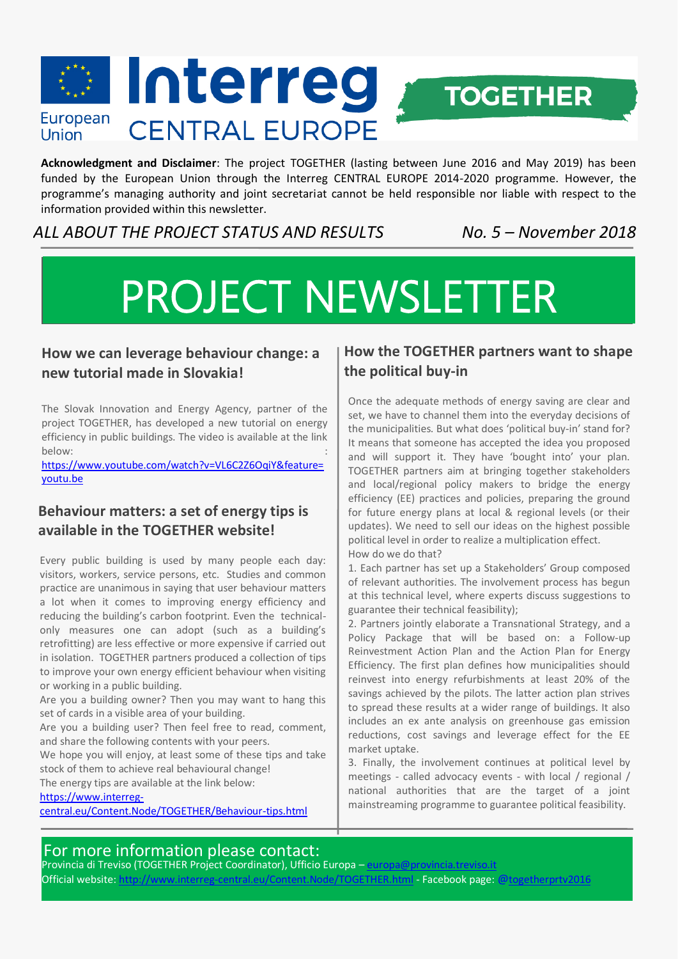

**Acknowledgment and Disclaimer**: The project TOGETHER (lasting between June 2016 and May 2019) has been funded by the European Union through the Interreg CENTRAL EUROPE 2014-2020 programme. However, the programme's managing authority and joint secretariat cannot be held responsible nor liable with respect to the information provided within this newsletter.

*ALL ABOUT THE PROJECT STATUS AND RESULTS No. 5 – November 2018*

# PROJECT NEWSLETTER

## **How we can leverage behaviour change: a new tutorial made in Slovakia!**

The Slovak Innovation and Energy Agency, partner of the project TOGETHER, has developed a new tutorial on energy efficiency in public buildings. The video is available at the link below: the contract of the contract of the contract of the contract of the contract of the contract of the contract of the contract of the contract of the contract of the contract of the contract of the contract of the con

[https://www.youtube.com/watch?v=VL6C2Z6OqiY&feature=](https://www.youtube.com/watch?v=VL6C2Z6OqiY&feature=youtu.be) [youtu.be](https://www.youtube.com/watch?v=VL6C2Z6OqiY&feature=youtu.be)

## **Behaviour matters: a set of energy tips is available in the TOGETHER website!**

Every public building is used by many people each day: visitors, workers, service persons, etc. Studies and common practice are unanimous in saying that user behaviour matters a lot when it comes to improving energy efficiency and reducing the building's carbon footprint. Even the technicalonly measures one can adopt (such as a building's retrofitting) are less effective or more expensive if carried out in isolation. TOGETHER partners produced a collection of tips to improve your own energy efficient behaviour when visiting or working in a public building.

Are you a building owner? Then you may want to hang this set of cards in a visible area of your building.

Are you a building user? Then feel free to read, comment, and share the following contents with your peers.

We hope you will enjoy, at least some of these tips and take stock of them to achieve real behavioural change!

The energy tips are available at the link below:

[https://www.interreg-](https://www.interreg-central.eu/Content.Node/TOGETHER/Behaviour-tips.html)

[central.eu/Content.Node/TOGETHER/Behaviour-tips.html](https://www.interreg-central.eu/Content.Node/TOGETHER/Behaviour-tips.html)

## **How the TOGETHER partners want to shape the political buy-in**

Once the adequate methods of energy saving are clear and set, we have to channel them into the everyday decisions of the municipalities. But what does 'political buy-in' stand for? It means that someone has accepted the idea you proposed and will support it. They have 'bought into' your plan. TOGETHER partners aim at bringing together stakeholders and local/regional policy makers to bridge the energy efficiency (EE) practices and policies, preparing the ground for future energy plans at local & regional levels (or their updates). We need to sell our ideas on the highest possible political level in order to realize a multiplication effect. How do we do that?

1. Each partner has set up a Stakeholders' Group composed of relevant authorities. The involvement process has begun at this technical level, where experts discuss suggestions to guarantee their technical feasibility);

2. Partners jointly elaborate a Transnational Strategy, and a Policy Package that will be based on: a Follow-up Reinvestment Action Plan and the Action Plan for Energy Efficiency. The first plan defines how municipalities should reinvest into energy refurbishments at least 20% of the savings achieved by the pilots. The latter action plan strives to spread these results at a wider range of buildings. It also includes an ex ante analysis on greenhouse gas emission reductions, cost savings and leverage effect for the EE market uptake.

3. Finally, the involvement continues at political level by meetings - called advocacy events - with local / regional / national authorities that are the target of a joint mainstreaming programme to guarantee political feasibility.

## For more information please contact:

Provincia di Treviso (TOGETHER Project Coordinator), Ufficio Europa – [europa@provincia.treviso.it](mailto:europa@provincia.treviso.it) Official website[: http://www.interreg-central.eu/Content.Node/TOGETHER.html](http://www.interreg-central.eu/Content.Node/TOGETHER.html) - Facebook page: @togetherprtv2016